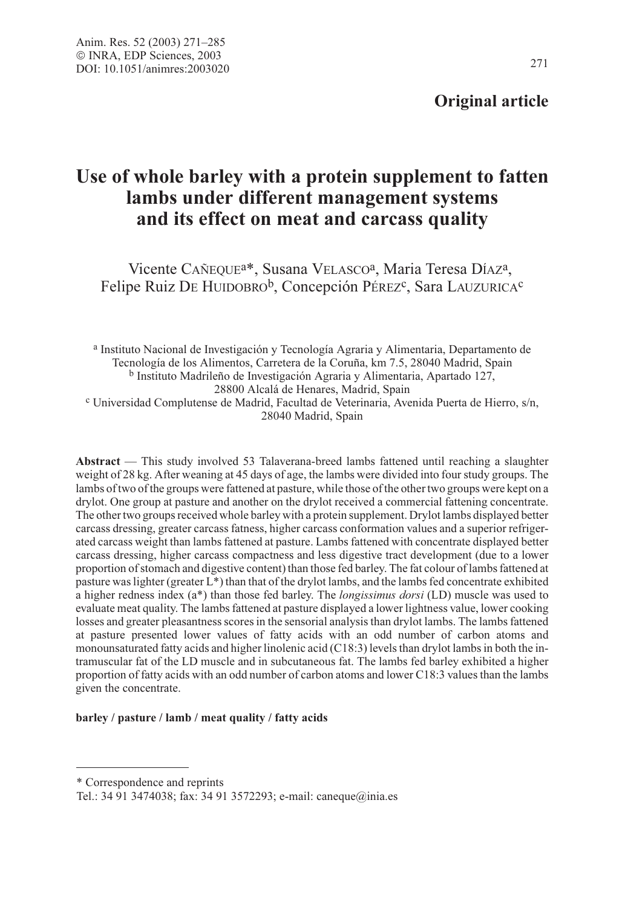## Original article

# Use of whole barley with a protein supplement to fatten lambs under different management systems and its effect on meat and carcass quality

Vicente CAÑEQUEa\*, Susana VELASCOa, Maria Teresa DÍAZa, Felipe Ruiz DE HUIDOBRO<sup>b</sup>, Concepción PÉREZ<sup>c</sup>, Sara LAUZURICA<sup>c</sup>

<sup>a</sup> Instituto Nacional de Investigación y Tecnología Agraria y Alimentaria, Departamento de Tecnología de los Alimentos, Carretera de la Coruña, km 7.5, 28040 Madrid, Spain  $b$  Instituto Madrileño de Investigación Agraria y Alimentaria, Apartado 127, 28800 Alcalá de Henares, Madrid, Spain  $\rm c$  Universidad Complutense de Madrid, Facultad de Veterinaria, Avenida Puerta de Hierro, s/n, 28040 Madrid, Spain

Abstract — This study involved 53 Talaverana-breed lambs fattened until reaching a slaughter weight of 28 kg. After weaning at 45 days of age, the lambs were divided into four study groups. The lambs of two of the groups were fattened at pasture, while those of the other two groups were kept on a drylot. One group at pasture and another on the drylot received a commercial fattening concentrate. The other two groups received whole barley with a protein supplement. Drylot lambs displayed better carcass dressing, greater carcass fatness, higher carcass conformation values and a superior refrigerated carcass weight than lambs fattened at pasture. Lambs fattened with concentrate displayed better carcass dressing, higher carcass compactness and less digestive tract development (due to a lower proportion of stomach and digestive content) than those fed barley. The fat colour of lambs fattened at pasture was lighter (greater L\*) than that of the drylot lambs, and the lambs fed concentrate exhibited a higher redness index ( $a^*$ ) than those fed barley. The *longissimus dorsi* (LD) muscle was used to evaluate meat quality. The lambs fattened at pasture displayed a lower lightness value, lower cooking losses and greater pleasantness scores in the sensorial analysis than drylot lambs. The lambs fattened at pasture presented lower values of fatty acids with an odd number of carbon atoms and monounsaturated fatty acids and higher linolenic acid (C18:3) levels than drylot lambs in both the intramuscular fat of the LD muscle and in subcutaneous fat. The lambs fed barley exhibited a higher proportion of fatty acids with an odd number of carbon atoms and lower C18:3 values than the lambs given the concentrate.

#### barley / pasture / lamb / meat quality / fatty acids

<sup>\*</sup> Correspondence and reprints

Tel.: 34 91 3474038; fax: 34 91 3572293; e-mail: caneque@inia.es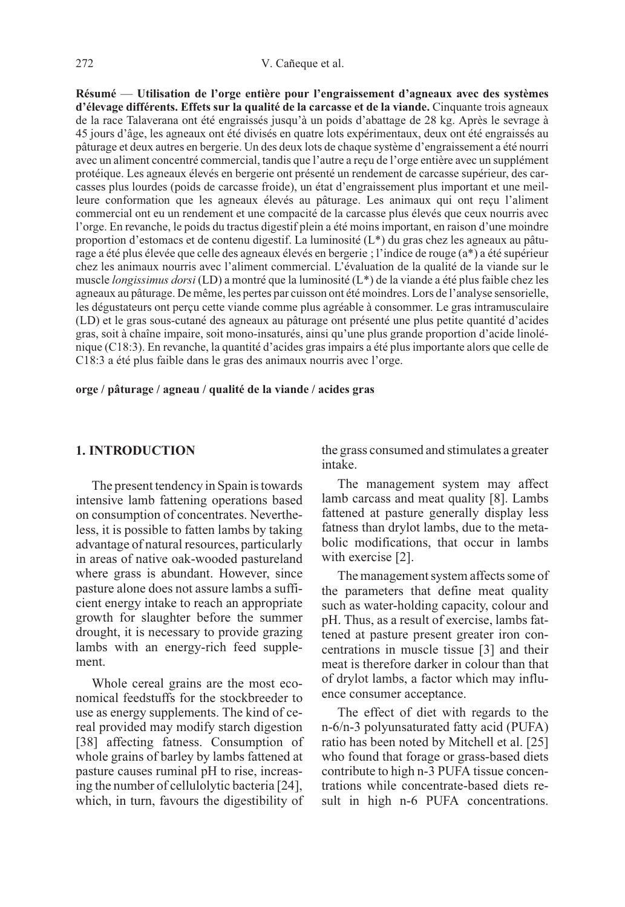Résumé — Utilisation de l'orge entière pour l'engraissement d'agneaux avec des systèmes d'élevage différents. Effets sur la qualité de la carcasse et de la viande. Cinquante trois agneaux de la race Talaverana ont été engraissés jusqu'à un poids d'abattage de 28 kg. Après le sevrage à 45 jours d'âge, les agneaux ont été divisés en quatre lots expérimentaux, deux ont été engraissés au pâturage et deux autres en bergerie. Un des deux lots de chaque système d'engraissement a été nourri avec un aliment concentré commercial, tandis que l'autre a reçu de l'orge entière avec un supplément protéique. Les agneaux élevés en bergerie ont présenté un rendement de carcasse supérieur, des carcasses plus lourdes (poids de carcasse froide), un état d'engraissement plus important et une meilleure conformation que les agneaux élevés au pâturage. Les animaux qui ont reçu l'aliment commercial ont eu un rendement et une compacité de la carcasse plus élevés que ceux nourris avec l'orge. En revanche, le poids du tractus digestif plein a été moins important, en raison d'une moindre proportion d'estomacs et de contenu digestif. La luminosité (L\*) du gras chez les agneaux au pâturage a été plus élevée que celle des agneaux élevés en bergerie ; l'indice de rouge (a\*) a été supérieur chez les animaux nourris avec l'aliment commercial. L'évaluation de la qualité de la viande sur le muscle longissimus dorsi (LD) a montré que la luminosité (L\*) de la viande a été plus faible chez les agneaux au pâturage. De même, les pertes par cuisson ont été moindres. Lors de l'analyse sensorielle, les dégustateurs ont perçu cette viande comme plus agréable à consommer. Le gras intramusculaire (LD) et le gras sous-cutané des agneaux au pâturage ont présenté une plus petite quantité d'acides gras, soit à chaîne impaire, soit mono-insaturés, ainsi qu'une plus grande proportion d'acide linolénique (C18:3). En revanche, la quantité d'acides gras impairs a été plus importante alors que celle de C18:3 a été plus faible dans le gras des animaux nourris avec l'orge.

orge / pâturage / agneau / qualité de la viande / acides gras

#### 1. INTRODUCTION

The present tendency in Spain is towards intensive lamb fattening operations based on consumption of concentrates. Nevertheless, it is possible to fatten lambs by taking advantage of natural resources, particularly in areas of native oak-wooded pastureland where grass is abundant. However, since pasture alone does not assure lambs a sufficient energy intake to reach an appropriate growth for slaughter before the summer drought, it is necessary to provide grazing lambs with an energy-rich feed supplement.

Whole cereal grains are the most economical feedstuffs for the stockbreeder to use as energy supplements. The kind of cereal provided may modify starch digestion [38] affecting fatness. Consumption of whole grains of barley by lambs fattened at pasture causes ruminal pH to rise, increasing the number of cellulolytic bacteria [24], which, in turn, favours the digestibility of the grass consumed and stimulates a greater intake.

The management system may affect lamb carcass and meat quality [8]. Lambs fattened at pasture generally display less fatness than drylot lambs, due to the metabolic modifications, that occur in lambs with exercise [2].

The management system affects some of the parameters that define meat quality such as water-holding capacity, colour and pH. Thus, as a result of exercise, lambs fattened at pasture present greater iron concentrations in muscle tissue [3] and their meat is therefore darker in colour than that of drylot lambs, a factor which may influence consumer acceptance.

The effect of diet with regards to the n-6/n-3 polyunsaturated fatty acid (PUFA) ratio has been noted by Mitchell et al. [25] who found that forage or grass-based diets contribute to high n-3 PUFA tissue concentrations while concentrate-based diets result in high n-6 PUFA concentrations.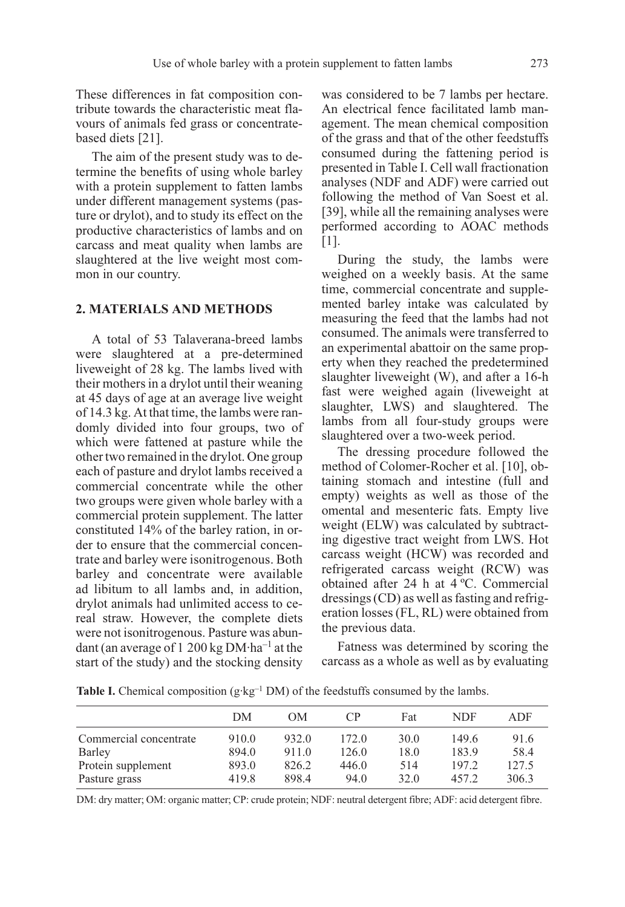These differences in fat composition contribute towards the characteristic meat flavours of animals fed grass or concentratebased diets [21].

The aim of the present study was to determine the benefits of using whole barley with a protein supplement to fatten lambs under different management systems (pasture or drylot), and to study its effect on the productive characteristics of lambs and on carcass and meat quality when lambs are slaughtered at the live weight most common in our country.

#### 2. MATERIALS AND METHODS

A total of 53 Talaverana-breed lambs were slaughtered at a pre-determined liveweight of 28 kg. The lambs lived with their mothers in a drylot until their weaning at 45 days of age at an average live weight of 14.3 kg. At that time, the lambs were randomly divided into four groups, two of which were fattened at pasture while the other two remained in the drylot. One group each of pasture and drylot lambs received a commercial concentrate while the other two groups were given whole barley with a commercial protein supplement. The latter constituted 14% of the barley ration, in order to ensure that the commercial concentrate and barley were isonitrogenous. Both barley and concentrate were available ad libitum to all lambs and, in addition, drylot animals had unlimited access to cereal straw. However, the complete diets were not isonitrogenous. Pasture was abundant (an average of 1 200 kg  $DM·ha^{-1}$  at the start of the study) and the stocking density was considered to be 7 lambs per hectare. An electrical fence facilitated lamb management. The mean chemical composition of the grass and that of the other feedstuffs consumed during the fattening period is presented in Table I. Cell wall fractionation analyses (NDF and ADF) were carried out following the method of Van Soest et al. [39], while all the remaining analyses were performed according to AOAC methods [1].

During the study, the lambs were weighed on a weekly basis. At the same time, commercial concentrate and supplemented barley intake was calculated by measuring the feed that the lambs had not consumed. The animals were transferred to an experimental abattoir on the same property when they reached the predetermined slaughter liveweight (W), and after a 16-h fast were weighed again (liveweight at slaughter, LWS) and slaughtered. The lambs from all four-study groups were slaughtered over a two-week period.

The dressing procedure followed the method of Colomer-Rocher et al. [10], obtaining stomach and intestine (full and empty) weights as well as those of the omental and mesenteric fats. Empty live weight (ELW) was calculated by subtracting digestive tract weight from LWS. Hot carcass weight (HCW) was recorded and refrigerated carcass weight (RCW) was obtained after 24 h at 4 ºC. Commercial dressings (CD) as well as fasting and refrigeration losses (FL, RL) were obtained from the previous data.

Fatness was determined by scoring the carcass as a whole as well as by evaluating

|  | Table I. Chemical composition $(g \cdot kg^{-1} DM)$ of the feedstuffs consumed by the lambs |  |  |  |  |
|--|----------------------------------------------------------------------------------------------|--|--|--|--|

|                              | DM             | <b>OM</b>      | CP             | Fat         | NDF            | ADF           |
|------------------------------|----------------|----------------|----------------|-------------|----------------|---------------|
| Commercial concentrate       | 910.0          | 932.0          | 172.0          | 30.0        | 149.6          | 91.6          |
| Barley<br>Protein supplement | 894.0<br>893.0 | 911.0<br>826.2 | 126.0<br>446.0 | 18.0<br>514 | 183.9<br>197.2 | 58.4<br>127.5 |
| Pasture grass                | 419.8          | 898.4          | 94.0           | 32.0        | 457.2          | 306.3         |

DM: dry matter; OM: organic matter; CP: crude protein; NDF: neutral detergent fibre; ADF: acid detergent fibre.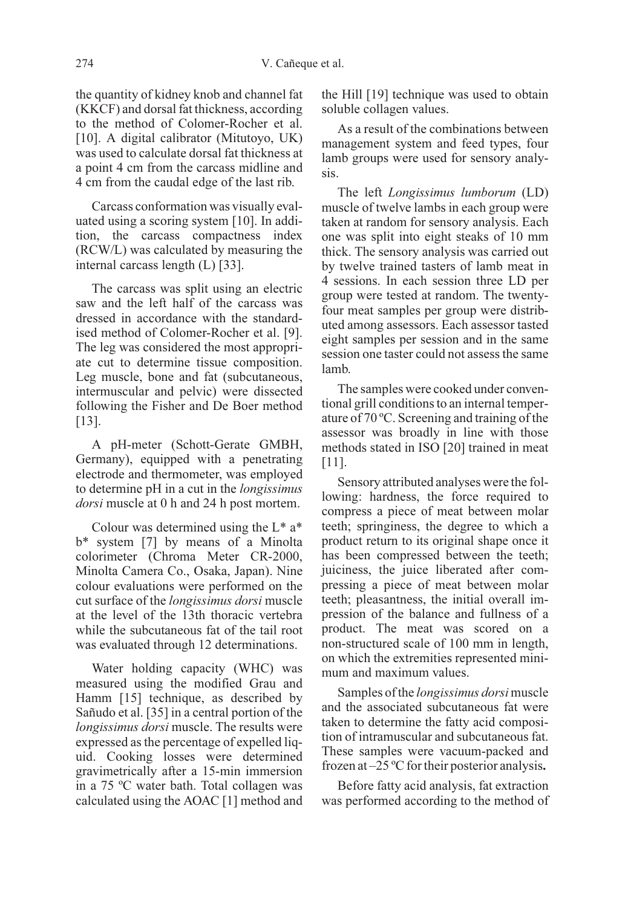the quantity of kidney knob and channel fat (KKCF) and dorsal fat thickness, according to the method of Colomer-Rocher et al. [10]. A digital calibrator (Mitutoyo, UK) was used to calculate dorsal fat thickness at a point 4 cm from the carcass midline and 4 cm from the caudal edge of the last rib.

Carcass conformation was visually evaluated using a scoring system [10]. In addition, the carcass compactness index (RCW/L) was calculated by measuring the internal carcass length (L) [33].

The carcass was split using an electric saw and the left half of the carcass was dressed in accordance with the standardised method of Colomer-Rocher et al. [9]. The leg was considered the most appropriate cut to determine tissue composition. Leg muscle, bone and fat (subcutaneous, intermuscular and pelvic) were dissected following the Fisher and De Boer method [13].

A pH-meter (Schott-Gerate GMBH, Germany), equipped with a penetrating electrode and thermometer, was employed to determine pH in a cut in the longissimus dorsi muscle at 0 h and 24 h post mortem.

Colour was determined using the  $L^*$  a<sup>\*</sup> b\* system [7] by means of a Minolta colorimeter (Chroma Meter CR-2000, Minolta Camera Co., Osaka, Japan). Nine colour evaluations were performed on the cut surface of the longissimus dorsi muscle at the level of the 13th thoracic vertebra while the subcutaneous fat of the tail root was evaluated through 12 determinations.

Water holding capacity (WHC) was measured using the modified Grau and Hamm [15] technique, as described by Sañudo et al. [35] in a central portion of the longissimus dorsi muscle. The results were expressed as the percentage of expelled liquid. Cooking losses were determined gravimetrically after a 15-min immersion in a 75 ºC water bath. Total collagen was calculated using the AOAC [1] method and the Hill [19] technique was used to obtain soluble collagen values.

As a result of the combinations between management system and feed types, four lamb groups were used for sensory analysis.

The left Longissimus lumborum (LD) muscle of twelve lambs in each group were taken at random for sensory analysis. Each one was split into eight steaks of 10 mm thick. The sensory analysis was carried out by twelve trained tasters of lamb meat in 4 sessions. In each session three LD per group were tested at random. The twentyfour meat samples per group were distributed among assessors. Each assessor tasted eight samples per session and in the same session one taster could not assess the same lamb.

The samples were cooked under conventional grill conditions to an internal temperature of 70 ºC. Screening and training of the assessor was broadly in line with those methods stated in ISO [20] trained in meat [11].

Sensory attributed analyses were the following: hardness, the force required to compress a piece of meat between molar teeth; springiness, the degree to which a product return to its original shape once it has been compressed between the teeth; juiciness, the juice liberated after compressing a piece of meat between molar teeth; pleasantness, the initial overall impression of the balance and fullness of a product. The meat was scored on a non-structured scale of 100 mm in length, on which the extremities represented minimum and maximum values.

Samples of the *longissimus dorsi* muscle and the associated subcutaneous fat were taken to determine the fatty acid composition of intramuscular and subcutaneous fat. These samples were vacuum-packed and frozen at –25 ºC for their posterior analysis.

Before fatty acid analysis, fat extraction was performed according to the method of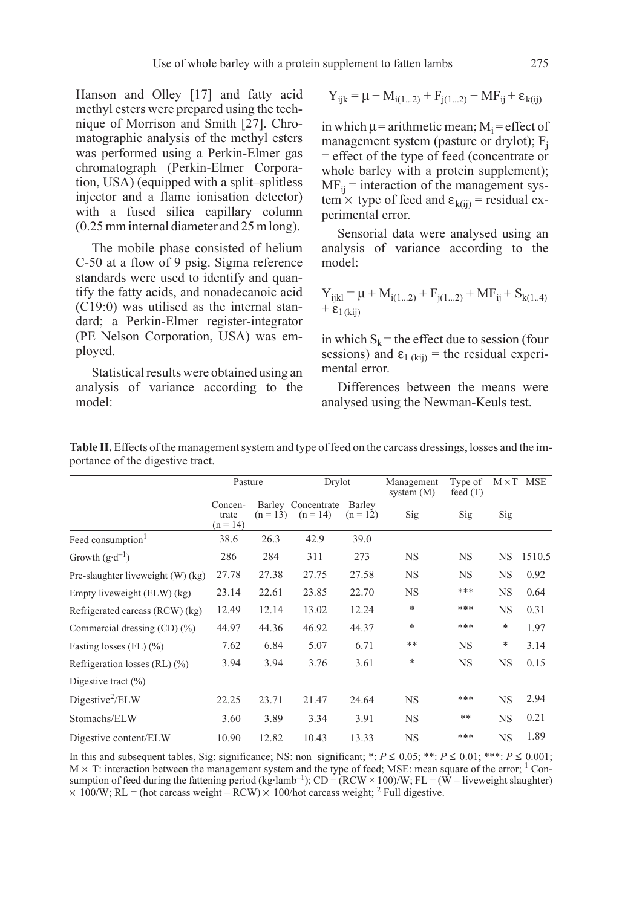Hanson and Olley [17] and fatty acid methyl esters were prepared using the technique of Morrison and Smith [27]. Chromatographic analysis of the methyl esters was performed using a Perkin-Elmer gas chromatograph (Perkin-Elmer Corporation, USA) (equipped with a split–splitless injector and a flame ionisation detector) with a fused silica capillary column (0.25 mm internal diameter and 25 m long).

The mobile phase consisted of helium C-50 at a flow of 9 psig. Sigma reference standards were used to identify and quantify the fatty acids, and nonadecanoic acid (C19:0) was utilised as the internal standard; a Perkin-Elmer register-integrator (PE Nelson Corporation, USA) was employed.

Statistical results were obtained using an analysis of variance according to the model:

$$
Y_{ijk} = \mu + M_{i(1...2)} + F_{j(1...2)} + MF_{ij} + \epsilon_{k(ij)}
$$

in which  $\mu$  = arithmetic mean;  $M_i$  = effect of management system (pasture or drylot);  $F_i$ = effect of the type of feed (concentrate or whole barley with a protein supplement);  $MF_{ii}$  = interaction of the management system  $\times$  type of feed and  $\varepsilon_{k(ii)}$  = residual experimental error.

Sensorial data were analysed using an analysis of variance according to the model:

$$
Y_{ijkl} = \mu + M_{i(1...2)} + F_{j(1...2)} + MF_{ij} + S_{k(1..4)}
$$
  
+  $\varepsilon_1_{(kij)}$ 

in which  $S_k$  = the effect due to session (four sessions) and  $\varepsilon_{1 (kii)}$  = the residual experimental error.

Differences between the means were analysed using the Newman-Keuls test.

|                                   | Pasture                        |            | Drylot                           |                      | Management<br>system $(M)$ | Type of<br>feed $(T)$ |           | $M \times T$ MSE |
|-----------------------------------|--------------------------------|------------|----------------------------------|----------------------|----------------------------|-----------------------|-----------|------------------|
|                                   | Concen-<br>trate<br>$(n = 14)$ | $(n = 13)$ | Barley Concentrate<br>$(n = 14)$ | Barley<br>$(n = 12)$ | Sig                        | Sig                   | Sig       |                  |
| Feed consumption <sup>1</sup>     | 38.6                           | 26.3       | 42.9                             | 39.0                 |                            |                       |           |                  |
| Growth $(g \cdot d^{-1})$         | 286                            | 284        | 311                              | 273                  | <b>NS</b>                  | <b>NS</b>             | <b>NS</b> | 1510.5           |
| Pre-slaughter liveweight (W) (kg) | 27.78                          | 27.38      | 27.75                            | 27.58                | <b>NS</b>                  | <b>NS</b>             | NS        | 0.92             |
| Empty liveweight (ELW) (kg)       | 23.14                          | 22.61      | 23.85                            | 22.70                | <b>NS</b>                  | ***                   | <b>NS</b> | 0.64             |
| Refrigerated carcass (RCW) (kg)   | 12.49                          | 12.14      | 13.02                            | 12.24                | *                          | ***                   | <b>NS</b> | 0.31             |
| Commercial dressing $(CD)(\%)$    | 44.97                          | 44.36      | 46.92                            | 44.37                | $\ast$                     | ***                   | *         | 1.97             |
| Fasting losses $(FL)$ $(\%)$      | 7.62                           | 6.84       | 5.07                             | 6.71                 | **                         | <b>NS</b>             | *         | 3.14             |
| Refrigeration losses (RL) $(\%)$  | 3.94                           | 3.94       | 3.76                             | 3.61                 | *                          | <b>NS</b>             | <b>NS</b> | 0.15             |
| Digestive tract $(\% )$           |                                |            |                                  |                      |                            |                       |           |                  |
| Digestive <sup>2</sup> /ELW       | 22.25                          | 23.71      | 21.47                            | 24.64                | <b>NS</b>                  | ***                   | <b>NS</b> | 2.94             |
| Stomachs/ELW                      | 3.60                           | 3.89       | 3.34                             | 3.91                 | <b>NS</b>                  | **                    | <b>NS</b> | 0.21             |
| Digestive content/ELW             | 10.90                          | 12.82      | 10.43                            | 13.33                | <b>NS</b>                  | ***                   | <b>NS</b> | 1.89             |

Table II. Effects of the management system and type of feed on the carcass dressings, losses and the importance of the digestive tract.

In this and subsequent tables, Sig: significance; NS: non significant; \*:  $P \le 0.05$ ; \*\*:  $P \le 0.01$ ; \*\*\*:  $P \le 0.001$ ;  $M \times T$ : interaction between the management system and the type of feed; MSE: mean square of the error; <sup>1</sup> Consumption of feed during the fattening period (kg·lamb<sup>-1</sup>); CD = (RCW × 100)/W; FL = (W – liveweight slaughter)  $\times$  100/W; RL = (hot carcass weight – RCW)  $\times$  100/hot carcass weight; <sup>2</sup> Full digestive.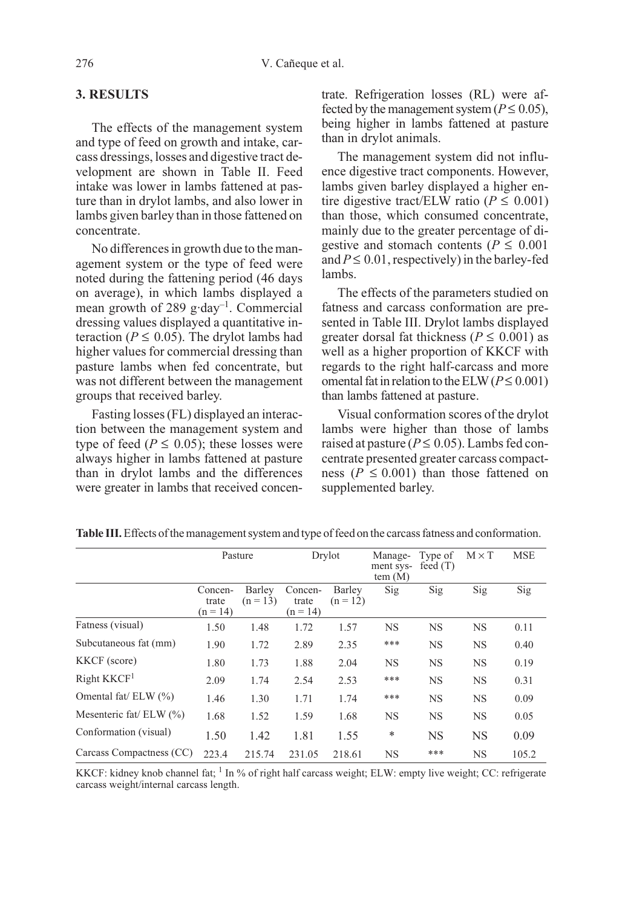### 3. RESULTS

The effects of the management system and type of feed on growth and intake, carcass dressings, losses and digestive tract development are shown in Table II. Feed intake was lower in lambs fattened at pasture than in drylot lambs, and also lower in lambs given barley than in those fattened on concentrate.

No differences in growth due to the management system or the type of feed were noted during the fattening period (46 days on average), in which lambs displayed a mean growth of 289 g·day–1. Commercial dressing values displayed a quantitative interaction ( $P \le 0.05$ ). The drylot lambs had higher values for commercial dressing than pasture lambs when fed concentrate, but was not different between the management groups that received barley.

Fasting losses (FL) displayed an interaction between the management system and type of feed ( $P \leq 0.05$ ); these losses were always higher in lambs fattened at pasture than in drylot lambs and the differences were greater in lambs that received concentrate. Refrigeration losses (RL) were affected by the management system ( $P \le 0.05$ ), being higher in lambs fattened at pasture than in drylot animals.

The management system did not influence digestive tract components. However, lambs given barley displayed a higher entire digestive tract/ELW ratio ( $P \le 0.001$ ) than those, which consumed concentrate, mainly due to the greater percentage of digestive and stomach contents ( $P \le 0.001$ and  $P \le 0.01$ , respectively) in the barley-fed lambs.

The effects of the parameters studied on fatness and carcass conformation are presented in Table III. Drylot lambs displayed greater dorsal fat thickness ( $P \le 0.001$ ) as well as a higher proportion of KKCF with regards to the right half-carcass and more omental fat in relation to the ELW ( $P \le 0.001$ ) than lambs fattened at pasture.

Visual conformation scores of the drylot lambs were higher than those of lambs raised at pasture ( $P \le 0.05$ ). Lambs fed concentrate presented greater carcass compactness ( $P \le 0.001$ ) than those fattened on supplemented barley.

|                           |                                | Pasture              |                                | Drylot               | Manage-<br>ment sys-<br>tem(M) | Type of<br>feed $(T)$ | $M \times T$ | <b>MSE</b> |
|---------------------------|--------------------------------|----------------------|--------------------------------|----------------------|--------------------------------|-----------------------|--------------|------------|
|                           | Concen-<br>trate<br>$(n = 14)$ | Barley<br>$(n = 13)$ | Concen-<br>trate<br>$(n = 14)$ | Barley<br>$(n = 12)$ | Sig                            | Sig                   | Sig          | Sig        |
| Fatness (visual)          | 1.50                           | 1.48                 | 1.72                           | 1.57                 | <b>NS</b>                      | <b>NS</b>             | <b>NS</b>    | 0.11       |
| Subcutaneous fat (mm)     | 1.90                           | 1.72                 | 2.89                           | 2.35                 | ***                            | <b>NS</b>             | <b>NS</b>    | 0.40       |
| KKCF (score)              | 1.80                           | 1.73                 | 1.88                           | 2.04                 | <b>NS</b>                      | <b>NS</b>             | <b>NS</b>    | 0.19       |
| Right KKCF <sup>1</sup>   | 2.09                           | 1.74                 | 2.54                           | 2.53                 | ***                            | <b>NS</b>             | <b>NS</b>    | 0.31       |
| Omental fat/ ELW (%)      | 1.46                           | 1.30                 | 1.71                           | 1.74                 | ***                            | <b>NS</b>             | <b>NS</b>    | 0.09       |
| Mesenteric fat/ $ELW$ (%) | 1.68                           | 1.52                 | 1.59                           | 1.68                 | <b>NS</b>                      | <b>NS</b>             | <b>NS</b>    | 0.05       |
| Conformation (visual)     | 1.50                           | 1.42                 | 1.81                           | 1.55                 | ∗                              | NS                    | <b>NS</b>    | 0.09       |
| Carcass Compactness (CC)  | 223.4                          | 215.74               | 231.05                         | 218.61               | <b>NS</b>                      | ***                   | <b>NS</b>    | 105.2      |

Table III.Effects of the management system and type of feed on the carcass fatness and conformation.

KKCF: kidney knob channel fat;  $1 \text{ In } \%$  of right half carcass weight; ELW: empty live weight; CC: refrigerate carcass weight/internal carcass length.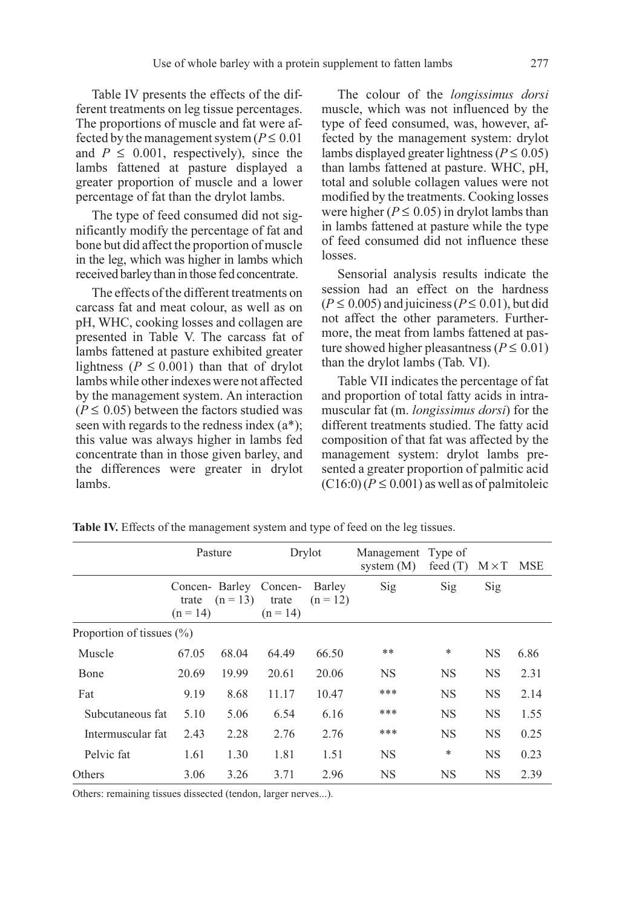Table IV presents the effects of the different treatments on leg tissue percentages. The proportions of muscle and fat were affected by the management system ( $P \le 0.01$ ) and  $P \leq 0.001$ , respectively), since the lambs fattened at pasture displayed a greater proportion of muscle and a lower percentage of fat than the drylot lambs.

The type of feed consumed did not significantly modify the percentage of fat and bone but did affect the proportion of muscle in the leg, which was higher in lambs which received barley than in those fed concentrate.

The effects of the different treatments on carcass fat and meat colour, as well as on pH, WHC, cooking losses and collagen are presented in Table V. The carcass fat of lambs fattened at pasture exhibited greater lightness ( $P \leq 0.001$ ) than that of drylot lambs while other indexes were not affected by the management system. An interaction  $(P \le 0.05)$  between the factors studied was seen with regards to the redness index (a\*); this value was always higher in lambs fed concentrate than in those given barley, and the differences were greater in drylot lambs.

The colour of the *longissimus dorsi* muscle, which was not influenced by the type of feed consumed, was, however, affected by the management system: drylot lambs displayed greater lightness ( $P \le 0.05$ ) than lambs fattened at pasture. WHC, pH, total and soluble collagen values were not modified by the treatments. Cooking losses were higher ( $P \le 0.05$ ) in drylot lambs than in lambs fattened at pasture while the type of feed consumed did not influence these losses.

Sensorial analysis results indicate the session had an effect on the hardness  $(P \le 0.005)$  and juiciness ( $P \le 0.01$ ), but did not affect the other parameters. Furthermore, the meat from lambs fattened at pasture showed higher pleasantness ( $P \le 0.01$ ) than the drylot lambs (Tab. VI).

Table VII indicates the percentage of fat and proportion of total fatty acids in intramuscular fat (m. longissimus dorsi) for the different treatments studied. The fatty acid composition of that fat was affected by the management system: drylot lambs presented a greater proportion of palmitic acid  $(C16:0)$   $(P \le 0.001)$  as well as of palmitoleic

|                               | Pasture             |            | Drylot                                        |                      | Management Type of<br>system $(M)$ | feed $(T)$ | $M \times T$ | MSE  |
|-------------------------------|---------------------|------------|-----------------------------------------------|----------------------|------------------------------------|------------|--------------|------|
|                               | trate<br>$(n = 14)$ | $(n = 13)$ | Concen- Barley Concen-<br>trate<br>$(n = 14)$ | Barley<br>$(n = 12)$ | Sig                                | Sig        | Sig          |      |
| Proportion of tissues $(\% )$ |                     |            |                                               |                      |                                    |            |              |      |
| Muscle                        | 67.05               | 68.04      | 64.49                                         | 66.50                | **                                 | ∗          | <b>NS</b>    | 6.86 |
| Bone                          | 20.69               | 19.99      | 20.61                                         | 20.06                | <b>NS</b>                          | <b>NS</b>  | <b>NS</b>    | 2.31 |
| Fat                           | 9.19                | 8.68       | 11.17                                         | 10.47                | ***                                | <b>NS</b>  | <b>NS</b>    | 2.14 |
| Subcutaneous fat              | 5.10                | 5.06       | 6.54                                          | 6.16                 | ***                                | <b>NS</b>  | <b>NS</b>    | 1.55 |
| Intermuscular fat             | 2.43                | 2.28       | 2.76                                          | 2.76                 | ***                                | <b>NS</b>  | <b>NS</b>    | 0.25 |
| Pelvic fat                    | 1.61                | 1.30       | 1.81                                          | 1.51                 | <b>NS</b>                          | ∗          | <b>NS</b>    | 0.23 |
| Others                        | 3.06                | 3.26       | 3.71                                          | 2.96                 | <b>NS</b>                          | <b>NS</b>  | <b>NS</b>    | 2.39 |

Table IV. Effects of the management system and type of feed on the leg tissues.

Others: remaining tissues dissected (tendon, larger nerves...).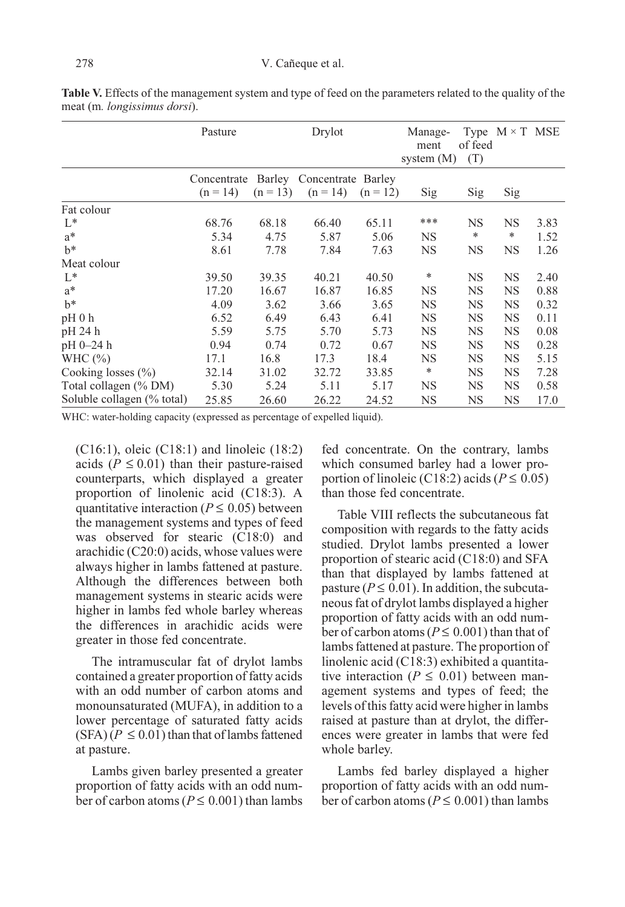|                            | Pasture     |            | Drylot                    |            | Manage-<br>ment<br>system $(M)$ | of feed<br>(T) | Type $M \times T$ MSE |      |
|----------------------------|-------------|------------|---------------------------|------------|---------------------------------|----------------|-----------------------|------|
|                            | Concentrate |            | Barley Concentrate Barley |            |                                 |                |                       |      |
|                            | $(n = 14)$  | $(n = 13)$ | $(n = 14)$                | $(n = 12)$ | Sig                             | Sig            | Sig                   |      |
| Fat colour                 |             |            |                           |            |                                 |                |                       |      |
| $L^*$                      | 68.76       | 68.18      | 66.40                     | 65.11      | ***                             | <b>NS</b>      | NS                    | 3.83 |
| $a^*$                      | 5.34        | 4.75       | 5.87                      | 5.06       | NS.                             | *              | $\ast$                | 1.52 |
| $h^*$                      | 8.61        | 7.78       | 7.84                      | 7.63       | <b>NS</b>                       | NS             | <b>NS</b>             | 1.26 |
| Meat colour                |             |            |                           |            |                                 |                |                       |      |
| $L^*$                      | 39.50       | 39.35      | 40.21                     | 40.50      | *                               | NS             | <b>NS</b>             | 2.40 |
| $a^*$                      | 17.20       | 16.67      | 16.87                     | 16.85      | NS                              | <b>NS</b>      | NS                    | 0.88 |
| $h^*$                      | 4.09        | 3.62       | 3.66                      | 3.65       | <b>NS</b>                       | NS             | NS                    | 0.32 |
| $pH_0 h$                   | 6.52        | 6.49       | 6.43                      | 6.41       | <b>NS</b>                       | <b>NS</b>      | NS                    | 0.11 |
| pH 24 h                    | 5.59        | 5.75       | 5.70                      | 5.73       | <b>NS</b>                       | NS             | NS                    | 0.08 |
| $pH 0-24 h$                | 0.94        | 0.74       | 0.72                      | 0.67       | NS                              | NS             | NS                    | 0.28 |
| WHC $(\%)$                 | 17.1        | 16.8       | 17.3                      | 18.4       | <b>NS</b>                       | <b>NS</b>      | NS                    | 5.15 |
| Cooking losses (%)         | 32.14       | 31.02      | 32.72                     | 33.85      | ∗                               | NS             | NS                    | 7.28 |
| Total collagen (% DM)      | 5.30        | 5.24       | 5.11                      | 5.17       | <b>NS</b>                       | NS             | NS                    | 0.58 |
| Soluble collagen (% total) | 25.85       | 26.60      | 26.22                     | 24.52      | NS                              | <b>NS</b>      | <b>NS</b>             | 17.0 |

Table V. Effects of the management system and type of feed on the parameters related to the quality of the meat (m. longissimus dorsi).

WHC: water-holding capacity (expressed as percentage of expelled liquid).

(C16:1), oleic (C18:1) and linoleic (18:2) acids ( $P \le 0.01$ ) than their pasture-raised counterparts, which displayed a greater proportion of linolenic acid (C18:3). A quantitative interaction ( $P \le 0.05$ ) between the management systems and types of feed was observed for stearic (C18:0) and arachidic (C20:0) acids, whose values were always higher in lambs fattened at pasture. Although the differences between both management systems in stearic acids were higher in lambs fed whole barley whereas the differences in arachidic acids were greater in those fed concentrate.

The intramuscular fat of drylot lambs contained a greater proportion of fatty acids with an odd number of carbon atoms and monounsaturated (MUFA), in addition to a lower percentage of saturated fatty acids  $(SFA)$  ( $P \le 0.01$ ) than that of lambs fattened at pasture.

Lambs given barley presented a greater proportion of fatty acids with an odd number of carbon atoms ( $P \le 0.001$ ) than lambs fed concentrate. On the contrary, lambs which consumed barley had a lower proportion of linoleic (C18:2) acids ( $P \le 0.05$ ) than those fed concentrate.

Table VIII reflects the subcutaneous fat composition with regards to the fatty acids studied. Drylot lambs presented a lower proportion of stearic acid (C18:0) and SFA than that displayed by lambs fattened at pasture ( $P \le 0.01$ ). In addition, the subcutaneous fat of drylot lambs displayed a higher proportion of fatty acids with an odd number of carbon atoms ( $P \le 0.001$ ) than that of lambs fattened at pasture. The proportion of linolenic acid (C18:3) exhibited a quantitative interaction ( $P \leq 0.01$ ) between management systems and types of feed; the levels of this fatty acid were higher in lambs raised at pasture than at drylot, the differences were greater in lambs that were fed whole barley.

Lambs fed barley displayed a higher proportion of fatty acids with an odd number of carbon atoms ( $P \le 0.001$ ) than lambs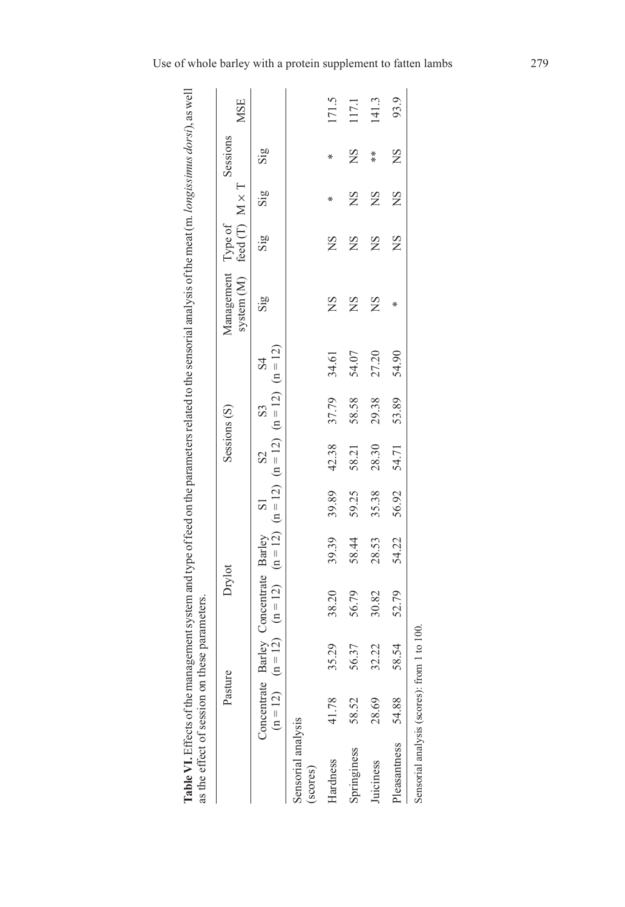| as the effect of session on these parameters. |                           |                     |                                                                                                              |       |       |              |       |                | Table VI. Effects of the management system and type of feed on the parameters related to the sensorial analysis of the meat (m. longissimus dorsi), as well |                         |     |                         |            |
|-----------------------------------------------|---------------------------|---------------------|--------------------------------------------------------------------------------------------------------------|-------|-------|--------------|-------|----------------|-------------------------------------------------------------------------------------------------------------------------------------------------------------|-------------------------|-----|-------------------------|------------|
|                                               | Pasture                   |                     | Drylot                                                                                                       |       |       | Sessions (S) |       |                | system (M) feed (T) $M \times T$<br>Management Type of                                                                                                      |                         |     | Sessions                | <b>MSE</b> |
|                                               | Concentrate<br>$(n = 12)$ |                     | $(n = 12)$ $(n = 12)$ $(n = 12)$ $(n = 12)$ $(n = 12)$ $(n = 12)$ $(n = 12)$<br>Barley Concentrate Barley S1 |       |       | $\Omega$     | S3    | S <sub>4</sub> | $\overline{\text{Sig}}$                                                                                                                                     | $\overline{\text{Sig}}$ | Sig | $\overline{\text{Sig}}$ |            |
| Sensorial analysis<br>(scores)                |                           |                     |                                                                                                              |       |       |              |       |                |                                                                                                                                                             |                         |     |                         |            |
| Hardness                                      | 41.78                     | 35.29               | 38.20                                                                                                        | 39.39 | 39.89 | 42.38        | 37.79 | 34.61          | ΧŃ                                                                                                                                                          | ΧŠ                      | ∗   | ∗                       | 171.5      |
| Springiness                                   | 58.52                     | 56.37               | 56.79                                                                                                        | 58.44 | 59.25 | 58.21        | 58.58 | 54.07          | ΣŃ                                                                                                                                                          | SN                      | ΣŃ  | <b>NS</b>               | 117.1      |
| Juiciness                                     | 28.69                     | 32.22               | 30.82                                                                                                        | 28.53 | 35.38 | 28.30        | 29.38 | 27.20          | ΧŃ                                                                                                                                                          | ΧŠ                      | ΧS  | ×<br>*                  | 141.3      |
| Pleasantness                                  | 54.88                     | 58.54               | 52.79                                                                                                        | 54.22 | 56.92 | 54.71        | 53.89 | 54.90          | ÷X.                                                                                                                                                         | ΧS                      | SN  | ΧŊ                      | 93.9       |
| Sensorial analysis (scores):                  |                           | from $1$ to $100$ . |                                                                                                              |       |       |              |       |                |                                                                                                                                                             |                         |     |                         |            |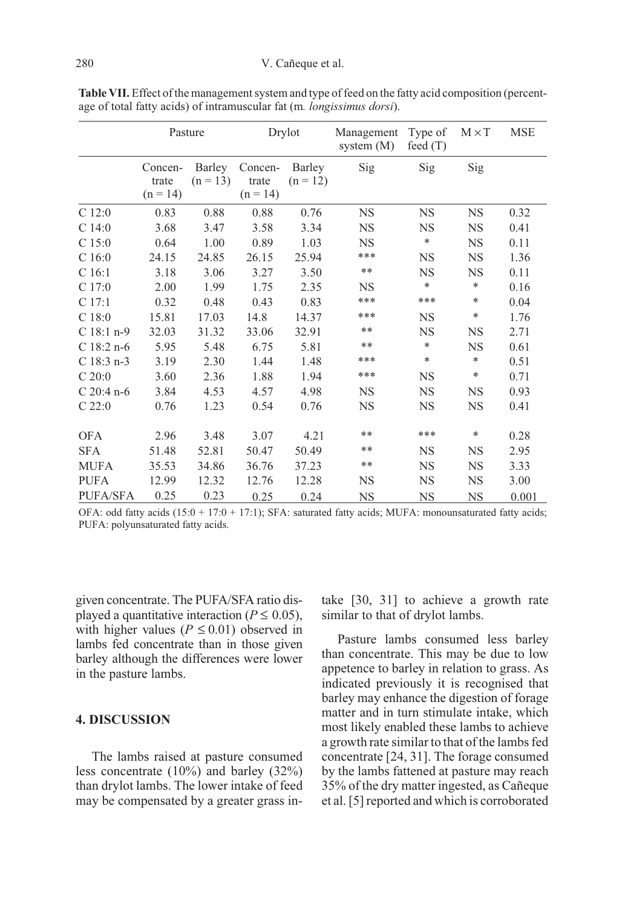|                   | Pasture                        |                      |                                | Drylot               | Management<br>system $(M)$ | Type of<br>feed $(T)$ | $M \times T$ | <b>MSE</b> |
|-------------------|--------------------------------|----------------------|--------------------------------|----------------------|----------------------------|-----------------------|--------------|------------|
|                   | Concen-<br>trate<br>$(n = 14)$ | Barley<br>$(n = 13)$ | Concen-<br>trate<br>$(n = 14)$ | Barley<br>$(n = 12)$ | Sig                        | Sig                   | Sig          |            |
| $C$ 12:0          | 0.83                           | 0.88                 | 0.88                           | 0.76                 | <b>NS</b>                  | <b>NS</b>             | NS           | 0.32       |
| C14:0             | 3.68                           | 3.47                 | 3.58                           | 3.34                 | NS                         | NS                    | <b>NS</b>    | 0.41       |
| C <sub>15:0</sub> | 0.64                           | 1.00                 | 0.89                           | 1.03                 | <b>NS</b>                  | $\ast$                | <b>NS</b>    | 0.11       |
| C16:0             | 24.15                          | 24.85                | 26.15                          | 25.94                | ***                        | <b>NS</b>             | <b>NS</b>    | 1.36       |
| C 16:1            | 3.18                           | 3.06                 | 3.27                           | 3.50                 | $* *$                      | NS                    | <b>NS</b>    | 0.11       |
| C17:0             | 2.00                           | 1.99                 | 1.75                           | 2.35                 | <b>NS</b>                  | *                     | *            | 0.16       |
| C 17:1            | 0.32                           | 0.48                 | 0.43                           | 0.83                 | ***                        | ***                   | *            | 0.04       |
| C18:0             | 15.81                          | 17.03                | 14.8                           | 14.37                | ***                        | <b>NS</b>             | *            | 1.76       |
| $C18:1 n-9$       | 32.03                          | 31.32                | 33.06                          | 32.91                | **                         | <b>NS</b>             | <b>NS</b>    | 2.71       |
| $C$ 18:2 n-6      | 5.95                           | 5.48                 | 6.75                           | 5.81                 | **                         | $\ast$                | <b>NS</b>    | 0.61       |
| $C$ 18:3 n-3      | 3.19                           | 2.30                 | 1.44                           | 1.48                 | ***                        | ∗                     | $\ast$       | 0.51       |
| C20:0             | 3.60                           | 2.36                 | 1.88                           | 1.94                 | ***                        | <b>NS</b>             | $\ast$       | 0.71       |
| $C$ 20:4 n-6      | 3.84                           | 4.53                 | 4.57                           | 4.98                 | <b>NS</b>                  | <b>NS</b>             | <b>NS</b>    | 0.93       |
| $C$ 22:0          | 0.76                           | 1.23                 | 0.54                           | 0.76                 | <b>NS</b>                  | <b>NS</b>             | NS           | 0.41       |
| <b>OFA</b>        | 2.96                           | 3.48                 | 3.07                           | 4.21                 | **                         | ***                   | *            | 0.28       |
| <b>SFA</b>        | 51.48                          | 52.81                | 50.47                          | 50.49                | **                         | <b>NS</b>             | NS           | 2.95       |
| <b>MUFA</b>       | 35.53                          | 34.86                | 36.76                          | 37.23                | **                         | <b>NS</b>             | <b>NS</b>    | 3.33       |
| <b>PUFA</b>       | 12.99                          | 12.32                | 12.76                          | 12.28                | <b>NS</b>                  | <b>NS</b>             | <b>NS</b>    | 3.00       |
| <b>PUFA/SFA</b>   | 0.25                           | 0.23                 | 0.25                           | 0.24                 | <b>NS</b>                  | <b>NS</b>             | NS           | 0.001      |

Table VII. Effect of the management system and type of feed on the fatty acid composition (percentage of total fatty acids) of intramuscular fat (m. longissimus dorsi).

OFA: odd fatty acids  $(15:0 + 17:0 + 17:1)$ ; SFA: saturated fatty acids; MUFA: monounsaturated fatty acids; PUFA: polyunsaturated fatty acids.

given concentrate. The PUFA/SFA ratio displayed a quantitative interaction ( $P \le 0.05$ ), with higher values ( $P \le 0.01$ ) observed in lambs fed concentrate than in those given barley although the differences were lower in the pasture lambs.

#### 4. DISCUSSION

The lambs raised at pasture consumed less concentrate (10%) and barley (32%) than drylot lambs. The lower intake of feed may be compensated by a greater grass intake [30, 31] to achieve a growth rate similar to that of drylot lambs.

Pasture lambs consumed less barley than concentrate. This may be due to low appetence to barley in relation to grass. As indicated previously it is recognised that barley may enhance the digestion of forage matter and in turn stimulate intake, which most likely enabled these lambs to achieve a growth rate similar to that of the lambs fed concentrate [24, 31]. The forage consumed by the lambs fattened at pasture may reach 35% of the dry matter ingested, as Cañeque et al. [5] reported and which is corroborated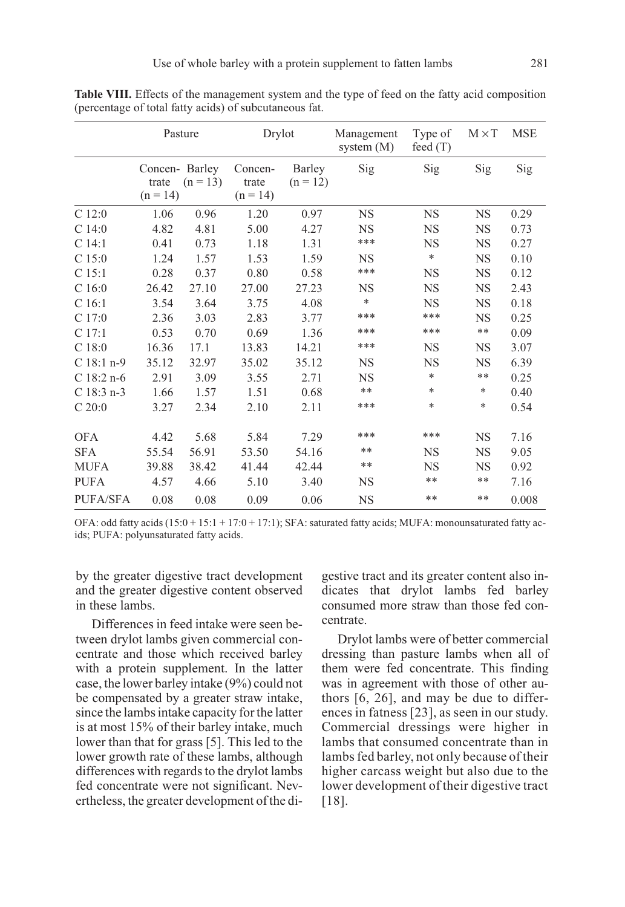|                   | Pasture                              |            | Drylot                         |                      | Management<br>system $(M)$ | Type of<br>feed $(T)$ | $M \times T$ | <b>MSE</b> |
|-------------------|--------------------------------------|------------|--------------------------------|----------------------|----------------------------|-----------------------|--------------|------------|
|                   | Concen-Barley<br>trate<br>$(n = 14)$ | $(n = 13)$ | Concen-<br>trate<br>$(n = 14)$ | Barley<br>$(n = 12)$ | Sig                        | Sig                   | Sig          | Sig        |
| C12:0             | 1.06                                 | 0.96       | 1.20                           | 0.97                 | <b>NS</b>                  | <b>NS</b>             | <b>NS</b>    | 0.29       |
| C <sub>14:0</sub> | 4.82                                 | 4.81       | 5.00                           | 4.27                 | <b>NS</b>                  | <b>NS</b>             | <b>NS</b>    | 0.73       |
| C <sub>14:1</sub> | 0.41                                 | 0.73       | 1.18                           | 1.31                 | ***                        | <b>NS</b>             | <b>NS</b>    | 0.27       |
| C15:0             | 1.24                                 | 1.57       | 1.53                           | 1.59                 | <b>NS</b>                  | *                     | <b>NS</b>    | 0.10       |
| C <sub>15:1</sub> | 0.28                                 | 0.37       | 0.80                           | 0.58                 | ***                        | <b>NS</b>             | <b>NS</b>    | 0.12       |
| C <sub>16:0</sub> | 26.42                                | 27.10      | 27.00                          | 27.23                | <b>NS</b>                  | <b>NS</b>             | <b>NS</b>    | 2.43       |
| C <sub>16:1</sub> | 3.54                                 | 3.64       | 3.75                           | 4.08                 | *                          | <b>NS</b>             | <b>NS</b>    | 0.18       |
| C17:0             | 2.36                                 | 3.03       | 2.83                           | 3.77                 | ***                        | ***                   | <b>NS</b>    | 0.25       |
| C 17:1            | 0.53                                 | 0.70       | 0.69                           | 1.36                 | ***                        | ***                   | **           | 0.09       |
| C <sub>18:0</sub> | 16.36                                | 17.1       | 13.83                          | 14.21                | ***                        | <b>NS</b>             | <b>NS</b>    | 3.07       |
| $C$ 18:1 n-9      | 35.12                                | 32.97      | 35.02                          | 35.12                | <b>NS</b>                  | <b>NS</b>             | <b>NS</b>    | 6.39       |
| $C$ 18:2 n-6      | 2.91                                 | 3.09       | 3.55                           | 2.71                 | <b>NS</b>                  | *                     | **           | 0.25       |
| $C$ 18:3 n-3      | 1.66                                 | 1.57       | 1.51                           | 0.68                 | $***$                      | *                     | *            | 0.40       |
| C 20:0            | 3.27                                 | 2.34       | 2.10                           | 2.11                 | ***                        | *                     | *            | 0.54       |
| <b>OFA</b>        | 4.42                                 | 5.68       | 5.84                           | 7.29                 | ***                        | ***                   | <b>NS</b>    | 7.16       |
| <b>SFA</b>        | 55.54                                | 56.91      | 53.50                          | 54.16                | **                         | <b>NS</b>             | <b>NS</b>    | 9.05       |
| <b>MUFA</b>       | 39.88                                | 38.42      | 41.44                          | 42.44                | $***$                      | <b>NS</b>             | <b>NS</b>    | 0.92       |
| <b>PUFA</b>       | 4.57                                 | 4.66       | 5.10                           | 3.40                 | <b>NS</b>                  | **                    | **           | 7.16       |
| <b>PUFA/SFA</b>   | 0.08                                 | 0.08       | 0.09                           | 0.06                 | <b>NS</b>                  | **                    | **           | 0.008      |

Table VIII. Effects of the management system and the type of feed on the fatty acid composition (percentage of total fatty acids) of subcutaneous fat.

OFA: odd fatty acids (15:0 + 15:1 + 17:0 + 17:1); SFA: saturated fatty acids; MUFA: monounsaturated fatty acids; PUFA: polyunsaturated fatty acids.

by the greater digestive tract development and the greater digestive content observed in these lambs.

Differences in feed intake were seen between drylot lambs given commercial concentrate and those which received barley with a protein supplement. In the latter case, the lower barley intake (9%) could not be compensated by a greater straw intake, since the lambs intake capacity for the latter is at most 15% of their barley intake, much lower than that for grass [5]. This led to the lower growth rate of these lambs, although differences with regards to the drylot lambs fed concentrate were not significant. Nevertheless, the greater development of the digestive tract and its greater content also indicates that drylot lambs fed barley consumed more straw than those fed concentrate.

Drylot lambs were of better commercial dressing than pasture lambs when all of them were fed concentrate. This finding was in agreement with those of other authors [6, 26], and may be due to differences in fatness [23], as seen in our study. Commercial dressings were higher in lambs that consumed concentrate than in lambs fed barley, not only because of their higher carcass weight but also due to the lower development of their digestive tract [18].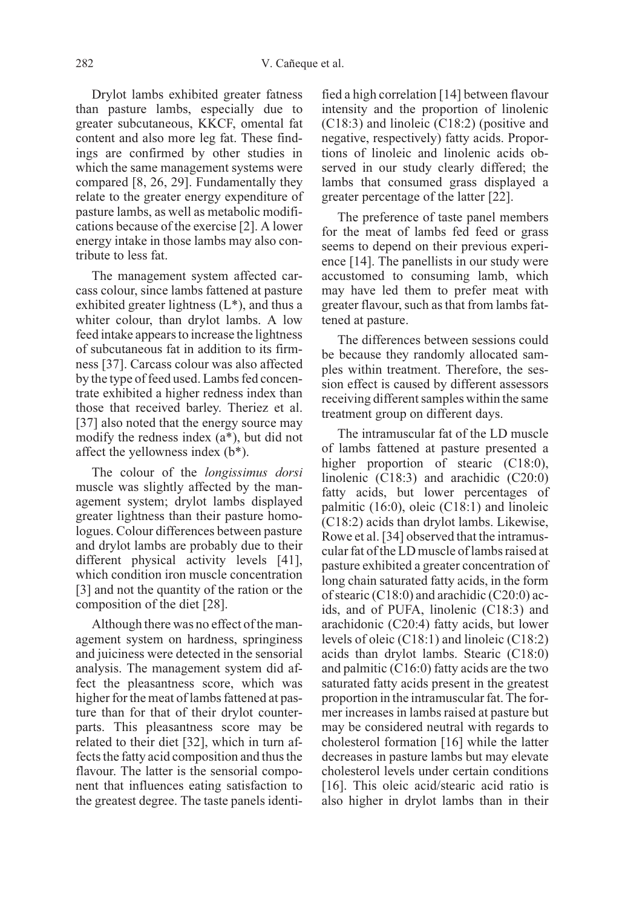Drylot lambs exhibited greater fatness than pasture lambs, especially due to greater subcutaneous, KKCF, omental fat content and also more leg fat. These findings are confirmed by other studies in which the same management systems were compared [8, 26, 29]. Fundamentally they relate to the greater energy expenditure of pasture lambs, as well as metabolic modifications because of the exercise [2]. A lower energy intake in those lambs may also contribute to less fat.

The management system affected carcass colour, since lambs fattened at pasture exhibited greater lightness  $(L^*)$ , and thus a whiter colour, than drylot lambs. A low feed intake appears to increase the lightness of subcutaneous fat in addition to its firmness [37]. Carcass colour was also affected by the type of feed used. Lambs fed concentrate exhibited a higher redness index than those that received barley. Theriez et al. [37] also noted that the energy source may modify the redness index (a\*), but did not affect the yellowness index (b\*).

The colour of the longissimus dorsi muscle was slightly affected by the management system; drylot lambs displayed greater lightness than their pasture homologues. Colour differences between pasture and drylot lambs are probably due to their different physical activity levels [41], which condition iron muscle concentration [3] and not the quantity of the ration or the composition of the diet [28].

Although there was no effect of the management system on hardness, springiness and juiciness were detected in the sensorial analysis. The management system did affect the pleasantness score, which was higher for the meat of lambs fattened at pasture than for that of their drylot counterparts. This pleasantness score may be related to their diet [32], which in turn affects the fatty acid composition and thus the flavour. The latter is the sensorial component that influences eating satisfaction to the greatest degree. The taste panels identified a high correlation [14] between flavour intensity and the proportion of linolenic (C18:3) and linoleic (C18:2) (positive and negative, respectively) fatty acids. Proportions of linoleic and linolenic acids observed in our study clearly differed; the lambs that consumed grass displayed a greater percentage of the latter [22].

The preference of taste panel members for the meat of lambs fed feed or grass seems to depend on their previous experience [14]. The panellists in our study were accustomed to consuming lamb, which may have led them to prefer meat with greater flavour, such as that from lambs fattened at pasture.

The differences between sessions could be because they randomly allocated samples within treatment. Therefore, the session effect is caused by different assessors receiving different samples within the same treatment group on different days.

The intramuscular fat of the LD muscle of lambs fattened at pasture presented a higher proportion of stearic (C18:0), linolenic (C18:3) and arachidic (C20:0) fatty acids, but lower percentages of palmitic (16:0), oleic (C18:1) and linoleic (C18:2) acids than drylot lambs. Likewise, Rowe et al. [34] observed that the intramuscular fat of the LD muscle of lambs raised at pasture exhibited a greater concentration of long chain saturated fatty acids, in the form of stearic  $(C18:0)$  and arachidic  $(C20:0)$  acids, and of PUFA, linolenic (C18:3) and arachidonic (C20:4) fatty acids, but lower levels of oleic (C18:1) and linoleic (C18:2) acids than drylot lambs. Stearic (C18:0) and palmitic (C16:0) fatty acids are the two saturated fatty acids present in the greatest proportion in the intramuscular fat. The former increases in lambs raised at pasture but may be considered neutral with regards to cholesterol formation [16] while the latter decreases in pasture lambs but may elevate cholesterol levels under certain conditions [16]. This oleic acid/stearic acid ratio is also higher in drylot lambs than in their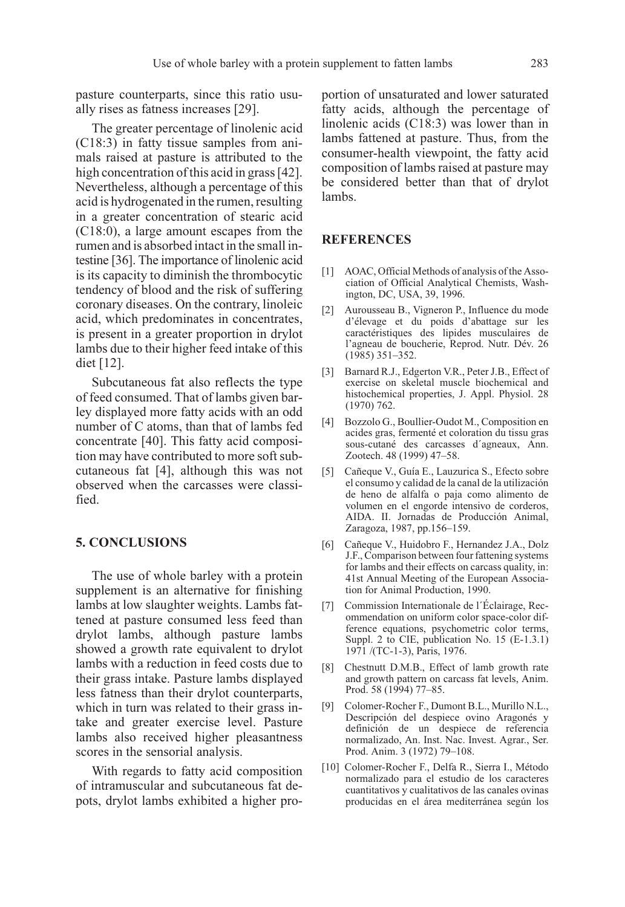pasture counterparts, since this ratio usually rises as fatness increases [29].

The greater percentage of linolenic acid (C18:3) in fatty tissue samples from animals raised at pasture is attributed to the high concentration of this acid in grass [42]. Nevertheless, although a percentage of this acid is hydrogenated in the rumen, resulting in a greater concentration of stearic acid (C18:0), a large amount escapes from the rumen and is absorbed intact in the small intestine [36]. The importance of linolenic acid is its capacity to diminish the thrombocytic tendency of blood and the risk of suffering coronary diseases. On the contrary, linoleic acid, which predominates in concentrates, is present in a greater proportion in drylot lambs due to their higher feed intake of this diet [12].

Subcutaneous fat also reflects the type of feed consumed. That of lambs given barley displayed more fatty acids with an odd number of C atoms, than that of lambs fed concentrate [40]. This fatty acid composition may have contributed to more soft subcutaneous fat [4], although this was not observed when the carcasses were classified.

#### 5. CONCLUSIONS

The use of whole barley with a protein supplement is an alternative for finishing lambs at low slaughter weights. Lambs fattened at pasture consumed less feed than drylot lambs, although pasture lambs showed a growth rate equivalent to drylot lambs with a reduction in feed costs due to their grass intake. Pasture lambs displayed less fatness than their drylot counterparts, which in turn was related to their grass intake and greater exercise level. Pasture lambs also received higher pleasantness scores in the sensorial analysis.

With regards to fatty acid composition of intramuscular and subcutaneous fat depots, drylot lambs exhibited a higher proportion of unsaturated and lower saturated fatty acids, although the percentage of linolenic acids (C18:3) was lower than in lambs fattened at pasture. Thus, from the consumer-health viewpoint, the fatty acid composition of lambs raised at pasture may be considered better than that of drylot lambs.

#### REFERENCES

- [1] AOAC, Official Methods of analysis of the Association of Official Analytical Chemists, Washington, DC, USA, 39, 1996.
- [2] Aurousseau B., Vigneron P., Influence du mode d'élevage et du poids d'abattage sur les caractéristiques des lipides musculaires de l'agneau de boucherie, Reprod. Nutr. Dév. 26 (1985) 351–352.
- [3] Barnard R.J., Edgerton V.R., Peter J.B., Effect of exercise on skeletal muscle biochemical and histochemical properties, J. Appl. Physiol. 28 (1970) 762.
- [4] Bozzolo G., Boullier-Oudot M., Composition en acides gras, fermenté et coloration du tissu gras sous-cutané des carcasses d´agneaux, Ann. Zootech. 48 (1999) 47–58.
- [5] Cañeque V., Guía E., Lauzurica S., Efecto sobre el consumo y calidad de la canal de la utilización de heno de alfalfa o paja como alimento de volumen en el engorde intensivo de corderos, AIDA. II. Jornadas de Producción Animal, Zaragoza, 1987, pp.156–159.
- [6] Cañeque V., Huidobro F., Hernandez J.A., Dolz J.F., Comparison between four fattening systems for lambs and their effects on carcass quality, in: 41st Annual Meeting of the European Association for Animal Production, 1990.
- [7] Commission Internationale de l´Éclairage, Recommendation on uniform color space-color difference equations, psychometric color terms, Suppl. 2 to CIE, publication No. 15 (E-1.3.1) 1971 /(TC-1-3), Paris, 1976.
- [8] Chestnutt D.M.B., Effect of lamb growth rate and growth pattern on carcass fat levels, Anim. Prod. 58 (1994) 77–85.
- [9] Colomer-Rocher F., Dumont B.L., Murillo N.L., Descripción del despiece ovino Aragonés y definición de un despiece de referencia normalizado, An. Inst. Nac. Invest. Agrar., Ser. Prod. Anim. 3 (1972) 79–108.
- [10] Colomer-Rocher F., Delfa R., Sierra I., Método normalizado para el estudio de los caracteres cuantitativos y cualitativos de las canales ovinas producidas en el área mediterránea según los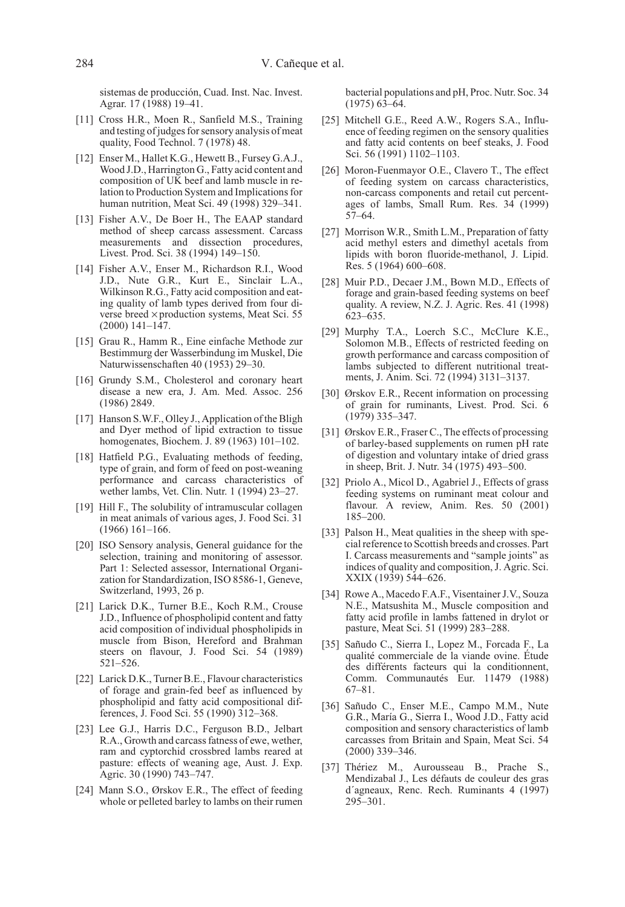sistemas de producción, Cuad. Inst. Nac. Invest. Agrar. 17 (1988) 19–41.

- [11] Cross H.R., Moen R., Sanfield M.S., Training and testing of judges for sensory analysis of meat quality, Food Technol. 7 (1978) 48.
- [12] Enser M., Hallet K.G., Hewett B., Fursey G.A.J., Wood J.D., Harrington G., Fatty acid content and composition of UK beef and lamb muscle in relation to Production System and Implications for human nutrition, Meat Sci. 49 (1998) 329–341.
- [13] Fisher A.V., De Boer H., The EAAP standard method of sheep carcass assessment. Carcass measurements and dissection procedures, Livest. Prod. Sci. 38 (1994) 149–150.
- [14] Fisher A.V., Enser M., Richardson R.I., Wood J.D., Nute G.R., Kurt E., Sinclair L.A., Wilkinson R.G., Fatty acid composition and eating quality of lamb types derived from four diverse breed × production systems, Meat Sci. 55  $(2000)$  141–147.
- [15] Grau R., Hamm R., Eine einfache Methode zur Bestimmurg der Wasserbindung im Muskel, Die Naturwissenschaften 40 (1953) 29–30.
- [16] Grundy S.M., Cholesterol and coronary heart disease a new era, J. Am. Med. Assoc. 256 (1986) 2849.
- [17] Hanson S.W.F., Olley J., Application of the Bligh and Dyer method of lipid extraction to tissue homogenates, Biochem. J. 89 (1963) 101–102.
- [18] Hatfield P.G., Evaluating methods of feeding, type of grain, and form of feed on post-weaning performance and carcass characteristics of wether lambs, Vet. Clin. Nutr. 1 (1994) 23–27.
- [19] Hill F., The solubility of intramuscular collagen in meat animals of various ages, J. Food Sci. 31 (1966) 161–166.
- [20] ISO Sensory analysis, General guidance for the selection, training and monitoring of assessor. Part 1: Selected assessor, International Organization for Standardization, ISO 8586-1, Geneve, Switzerland, 1993, 26 p.
- [21] Larick D.K., Turner B.E., Koch R.M., Crouse J.D., Influence of phospholipid content and fatty acid composition of individual phospholipids in muscle from Bison, Hereford and Brahman steers on flavour, J. Food Sci. 54 (1989) 521–526.
- [22] Larick D.K., Turner B.E., Flavour characteristics of forage and grain-fed beef as influenced by phospholipid and fatty acid compositional differences, J. Food Sci. 55 (1990) 312–368.
- [23] Lee G.J., Harris D.C., Ferguson B.D., Jelbart R.A., Growth and carcass fatness of ewe, wether, ram and cyptorchid crossbred lambs reared at pasture: effects of weaning age, Aust. J. Exp. Agric. 30 (1990) 743–747.
- [24] Mann S.O., Ørskov E.R., The effect of feeding whole or pelleted barley to lambs on their rumen

bacterial populations and pH, Proc. Nutr. Soc. 34 (1975) 63–64.

- [25] Mitchell G.E., Reed A.W., Rogers S.A., Influence of feeding regimen on the sensory qualities and fatty acid contents on beef steaks, J. Food Sci. 56 (1991) 1102–1103.
- [26] Moron-Fuenmayor O.E., Clavero T., The effect of feeding system on carcass characteristics, non-carcass components and retail cut percentages of lambs, Small Rum. Res. 34 (1999) 57–64.
- [27] Morrison W.R., Smith L.M., Preparation of fatty acid methyl esters and dimethyl acetals from lipids with boron fluoride-methanol, J. Lipid. Res. 5 (1964) 600–608.
- [28] Muir P.D., Decaer J.M., Bown M.D., Effects of forage and grain-based feeding systems on beef quality. A review, N.Z. J. Agric. Res. 41 (1998) 623–635.
- [29] Murphy T.A., Loerch S.C., McClure K.E., Solomon M.B., Effects of restricted feeding on growth performance and carcass composition of lambs subjected to different nutritional treatments, J. Anim. Sci. 72 (1994) 3131–3137.
- [30] Ørskov E.R., Recent information on processing of grain for ruminants, Livest. Prod. Sci. 6 (1979) 335–347.
- [31] Ørskov E.R., Fraser C., The effects of processing of barley-based supplements on rumen pH rate of digestion and voluntary intake of dried grass in sheep, Brit. J. Nutr. 34 (1975) 493–500.
- [32] Priolo A., Micol D., Agabriel J., Effects of grass feeding systems on ruminant meat colour and flavour. A review, Anim. Res. 50 (2001) 185–200.
- [33] Palson H., Meat qualities in the sheep with special reference to Scottish breeds and crosses. Part I. Carcass measurements and "sample joints" as indices of quality and composition, J. Agric. Sci. XXIX (1939) 544–626.
- [34] Rowe A., Macedo F.A.F., Visentainer J.V., Souza N.E., Matsushita M., Muscle composition and fatty acid profile in lambs fattened in drylot or pasture, Meat Sci. 51 (1999) 283–288.
- [35] Sañudo C., Sierra I., Lopez M., Forcada F., La qualité commerciale de la viande ovine. Étude des différents facteurs qui la conditionnent, Comm. Communautés Eur. 11479 (1988) 67–81.
- [36] Sañudo C., Enser M.E., Campo M.M., Nute G.R., María G., Sierra I., Wood J.D., Fatty acid composition and sensory characteristics of lamb carcasses from Britain and Spain, Meat Sci. 54 (2000) 339–346.
- [37] Thériez M., Aurousseau B., Prache S., Mendizabal J., Les défauts de couleur des gras d´agneaux, Renc. Rech. Ruminants 4 (1997) 295–301.